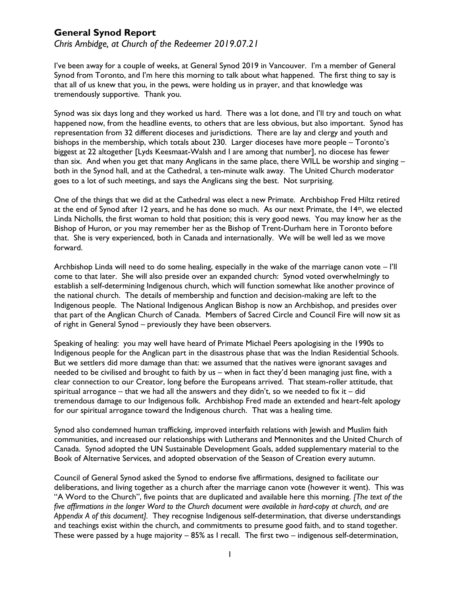# **General Synod Report**

*Chris Ambidge, at Church of the Redeemer 2019.07.21*

I've been away for a couple of weeks, at General Synod 2019 in Vancouver. I'm a member of General Synod from Toronto, and I'm here this morning to talk about what happened. The first thing to say is that all of us knew that you, in the pews, were holding us in prayer, and that knowledge was tremendously supportive. Thank you.

Synod was six days long and they worked us hard. There was a lot done, and I'll try and touch on what happened now, from the headline events, to others that are less obvious, but also important. Synod has representation from 32 different dioceses and jurisdictions. There are lay and clergy and youth and bishops in the membership, which totals about 230. Larger dioceses have more people – Toronto's biggest at 22 altogether [Lyds Keesmaat-Walsh and I are among that number], no diocese has fewer than six. And when you get that many Anglicans in the same place, there WILL be worship and singing – both in the Synod hall, and at the Cathedral, a ten-minute walk away. The United Church moderator goes to a lot of such meetings, and says the Anglicans sing the best. Not surprising.

One of the things that we did at the Cathedral was elect a new Primate. Archbishop Fred Hiltz retired at the end of Synod after 12 years, and he has done so much. As our next Primate, the 14th, we elected Linda Nicholls, the first woman to hold that position; this is very good news. You may know her as the Bishop of Huron, or you may remember her as the Bishop of Trent-Durham here in Toronto before that. She is very experienced, both in Canada and internationally. We will be well led as we move forward.

Archbishop Linda will need to do some healing, especially in the wake of the marriage canon vote – I'll come to that later. She will also preside over an expanded church: Synod voted overwhelmingly to establish a self-determining Indigenous church, which will function somewhat like another province of the national church. The details of membership and function and decision-making are left to the Indigenous people. The National Indigenous Anglican Bishop is now an Archbishop, and presides over that part of the Anglican Church of Canada. Members of Sacred Circle and Council Fire will now sit as of right in General Synod – previously they have been observers.

Speaking of healing: you may well have heard of Primate Michael Peers apologising in the 1990s to Indigenous people for the Anglican part in the disastrous phase that was the Indian Residential Schools. But we settlers did more damage than that: we assumed that the natives were ignorant savages and needed to be civilised and brought to faith by us – when in fact they'd been managing just fine, with a clear connection to our Creator, long before the Europeans arrived. That steam-roller attitude, that spiritual arrogance – that we had all the answers and they didn't, so we needed to fix it – did tremendous damage to our Indigenous folk. Archbishop Fred made an extended and heart-felt apology for our spiritual arrogance toward the Indigenous church. That was a healing time.

Synod also condemned human trafficking, improved interfaith relations with Jewish and Muslim faith communities, and increased our relationships with Lutherans and Mennonites and the United Church of Canada. Synod adopted the UN Sustainable Development Goals, added supplementary material to the Book of Alternative Services, and adopted observation of the Season of Creation every autumn.

Council of General Synod asked the Synod to endorse five affirmations, designed to facilitate our deliberations, and living together as a church after the marriage canon vote (however it went). This was "A Word to the Church", five points that are duplicated and available here this morning. *[The text of the five affirmations in the longer Word to the Church document were available in hard-copy at church, and are Appendix A of this document].* They recognise Indigenous self-determination, that diverse understandings and teachings exist within the church, and commitments to presume good faith, and to stand together. These were passed by a huge majority – 85% as I recall. The first two – indigenous self-determination,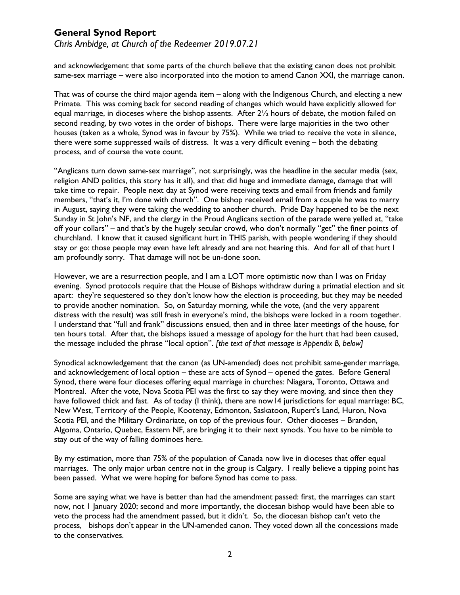# **General Synod Report**

*Chris Ambidge, at Church of the Redeemer 2019.07.21*

and acknowledgement that some parts of the church believe that the existing canon does not prohibit same-sex marriage – were also incorporated into the motion to amend Canon XXI, the marriage canon.

That was of course the third major agenda item – along with the Indigenous Church, and electing a new Primate. This was coming back for second reading of changes which would have explicitly allowed for equal marriage, in dioceses where the bishop assents. After  $2\frac{1}{2}$  hours of debate, the motion failed on second reading, by two votes in the order of bishops. There were large majorities in the two other houses (taken as a whole, Synod was in favour by 75%). While we tried to receive the vote in silence, there were some suppressed wails of distress. It was a very difficult evening – both the debating process, and of course the vote count.

"Anglicans turn down same-sex marriage", not surprisingly, was the headline in the secular media (sex, religion AND politics, this story has it all), and that did huge and immediate damage, damage that will take time to repair. People next day at Synod were receiving texts and email from friends and family members, "that's it, I'm done with church". One bishop received email from a couple he was to marry in August, saying they were taking the wedding to another church. Pride Day happened to be the next Sunday in St John's NF, and the clergy in the Proud Anglicans section of the parade were yelled at, "take off your collars" – and that's by the hugely secular crowd, who don't normally "get" the finer points of churchland. I know that it caused significant hurt in THIS parish, with people wondering if they should stay or go: those people may even have left already and are not hearing this. And for all of that hurt I am profoundly sorry. That damage will not be un-done soon.

However, we are a resurrection people, and I am a LOT more optimistic now than I was on Friday evening. Synod protocols require that the House of Bishops withdraw during a primatial election and sit apart: they're sequestered so they don't know how the election is proceeding, but they may be needed to provide another nomination. So, on Saturday morning, while the vote, (and the very apparent distress with the result) was still fresh in everyone's mind, the bishops were locked in a room together. I understand that "full and frank" discussions ensued, then and in three later meetings of the house, for ten hours total. After that, the bishops issued a message of apology for the hurt that had been caused, the message included the phrase "local option". *[the text of that message is Appendix B, below]*

Synodical acknowledgement that the canon (as UN-amended) does not prohibit same-gender marriage, and acknowledgement of local option – these are acts of Synod – opened the gates. Before General Synod, there were four dioceses offering equal marriage in churches: Niagara, Toronto, Ottawa and Montreal. After the vote, Nova Scotia PEI was the first to say they were moving, and since then they have followed thick and fast. As of today (I think), there are now14 jurisdictions for equal marriage: BC, New West, Territory of the People, Kootenay, Edmonton, Saskatoon, Rupert's Land, Huron, Nova Scotia PEI, and the Military Ordinariate, on top of the previous four. Other dioceses – Brandon, Algoma, Ontario, Quebec, Eastern NF, are bringing it to their next synods. You have to be nimble to stay out of the way of falling dominoes here.

By my estimation, more than 75% of the population of Canada now live in dioceses that offer equal marriages. The only major urban centre not in the group is Calgary. I really believe a tipping point has been passed. What we were hoping for before Synod has come to pass.

Some are saying what we have is better than had the amendment passed: first, the marriages can start now, not 1 January 2020; second and more importantly, the diocesan bishop would have been able to veto the process had the amendment passed, but it didn't. So, the diocesan bishop can't veto the process, bishops don't appear in the UN-amended canon. They voted down all the concessions made to the conservatives.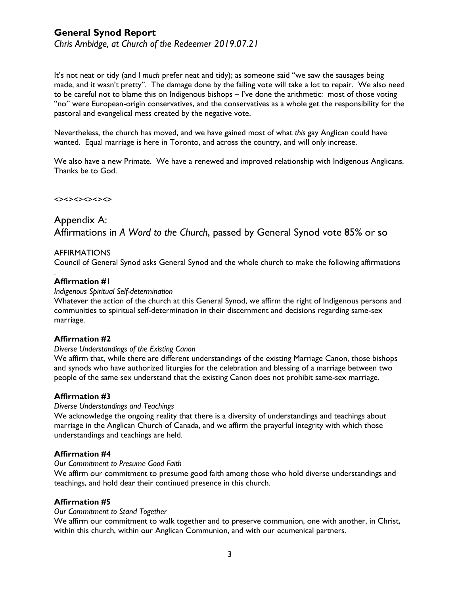# **General Synod Report**

*Chris Ambidge, at Church of the Redeemer 2019.07.21*

It's not neat or tidy (and I *much* prefer neat and tidy); as someone said "we saw the sausages being made, and it wasn't pretty". The damage done by the failing vote will take a lot to repair. We also need to be careful not to blame this on Indigenous bishops – I've done the arithmetic: most of those voting "no" were European-origin conservatives, and the conservatives as a whole get the responsibility for the pastoral and evangelical mess created by the negative vote.

Nevertheless, the church has moved, and we have gained most of what *this* gay Anglican could have wanted. Equal marriage is here in Toronto, and across the country, and will only increase.

We also have a new Primate. We have a renewed and improved relationship with Indigenous Anglicans. Thanks be to God.

### <><><><><><>

# Appendix A: Affirmations in *A Word to the Church*, passed by General Synod vote 85% or so

### AFFIRMATIONS

Council of General Synod asks General Synod and the whole church to make the following affirmations

# **Affirmation #1**

.

### *Indigenous Spiritual Self-determination*

Whatever the action of the church at this General Synod, we affirm the right of Indigenous persons and communities to spiritual self-determination in their discernment and decisions regarding same-sex marriage.

# **Affirmation #2**

#### *Diverse Understandings of the Existing Canon*

We affirm that, while there are different understandings of the existing Marriage Canon, those bishops and synods who have authorized liturgies for the celebration and blessing of a marriage between two people of the same sex understand that the existing Canon does not prohibit same-sex marriage.

# **Affirmation #3**

#### *Diverse Understandings and Teachings*

We acknowledge the ongoing reality that there is a diversity of understandings and teachings about marriage in the Anglican Church of Canada, and we affirm the prayerful integrity with which those understandings and teachings are held.

# **Affirmation #4**

#### *Our Commitment to Presume Good Faith*

We affirm our commitment to presume good faith among those who hold diverse understandings and teachings, and hold dear their continued presence in this church.

# **Affirmation #5**

#### *Our Commitment to Stand Together*

We affirm our commitment to walk together and to preserve communion, one with another, in Christ, within this church, within our Anglican Communion, and with our ecumenical partners.